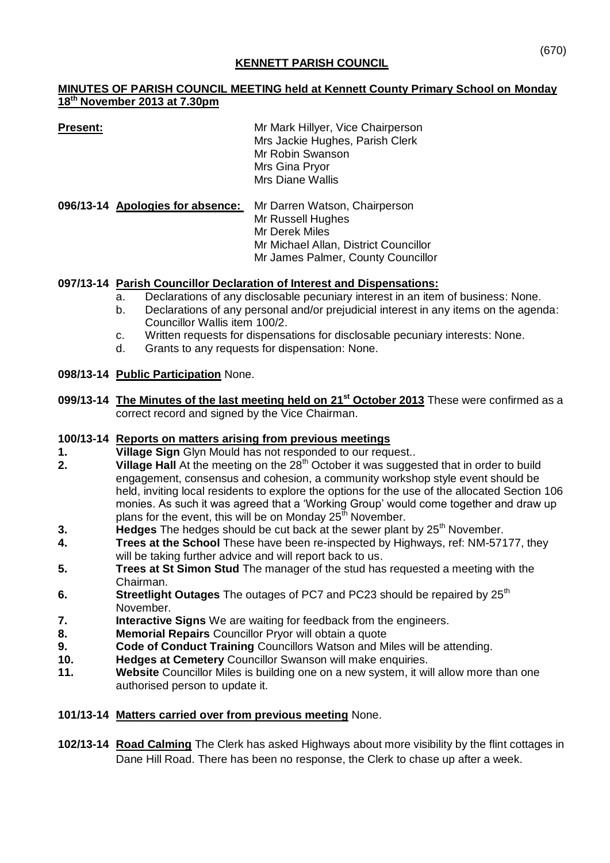# **KENNETT PARISH COUNCIL**

## **MINUTES OF PARISH COUNCIL MEETING held at Kennett County Primary School on Monday 18th November 2013 at 7.30pm**

| Present:                         | Mr Mark Hillyer, Vice Chairperson<br>Mrs Jackie Hughes, Parish Clerk<br>Mr Robin Swanson<br>Mrs Gina Pryor<br><b>Mrs Diane Wallis</b>               |
|----------------------------------|-----------------------------------------------------------------------------------------------------------------------------------------------------|
| 096/13-14 Apologies for absence: | Mr Darren Watson, Chairperson<br>Mr Russell Hughes<br>Mr Derek Miles<br>Mr Michael Allan, District Councillor<br>Mr James Palmer, County Councillor |

# **097/13-14 Parish Councillor Declaration of Interest and Dispensations:**

- a. Declarations of any disclosable pecuniary interest in an item of business: None.
- b. Declarations of any personal and/or prejudicial interest in any items on the agenda: Councillor Wallis item 100/2.
- c. Written requests for dispensations for disclosable pecuniary interests: None.
- d. Grants to any requests for dispensation: None.

## **098/13-14 Public Participation** None.

**099/13-14 The Minutes of the last meeting held on 21st October 2013** These were confirmed as a correct record and signed by the Vice Chairman.

## **100/13-14 Reports on matters arising from previous meetings**

- **1. Village Sign** Glyn Mould has not responded to our request..<br>**2. Village Hall** At the meeting on the 28<sup>th</sup> October it was sugge
- **2. Yillage Hall** At the meeting on the 28<sup>th</sup> October it was suggested that in order to build engagement, consensus and cohesion, a community workshop style event should be held, inviting local residents to explore the options for the use of the allocated Section 106 monies. As such it was agreed that a 'Working Group' would come together and draw up plans for the event, this will be on Monday  $25^{\text{th}}$  November.
- **3. Hedges** The hedges should be cut back at the sewer plant by 25<sup>th</sup> November.
- **4. Trees at the School** These have been re-inspected by Highways, ref: NM-57177, they will be taking further advice and will report back to us.
- **5. Trees at St Simon Stud** The manager of the stud has requested a meeting with the Chairman.
- **6. Streetlight Outages** The outages of PC7 and PC23 should be repaired by 25<sup>th</sup> November.
- **7. Interactive Signs** We are waiting for feedback from the engineers.
- **8. Memorial Repairs** Councillor Pryor will obtain a quote
- **9. Code of Conduct Training** Councillors Watson and Miles will be attending.
- **10. Hedges at Cemetery** Councillor Swanson will make enquiries.
- **11. Website** Councillor Miles is building one on a new system, it will allow more than one authorised person to update it.

## **101/13-14 Matters carried over from previous meeting** None.

**102/13-14 Road Calming** The Clerk has asked Highways about more visibility by the flint cottages in Dane Hill Road. There has been no response, the Clerk to chase up after a week.